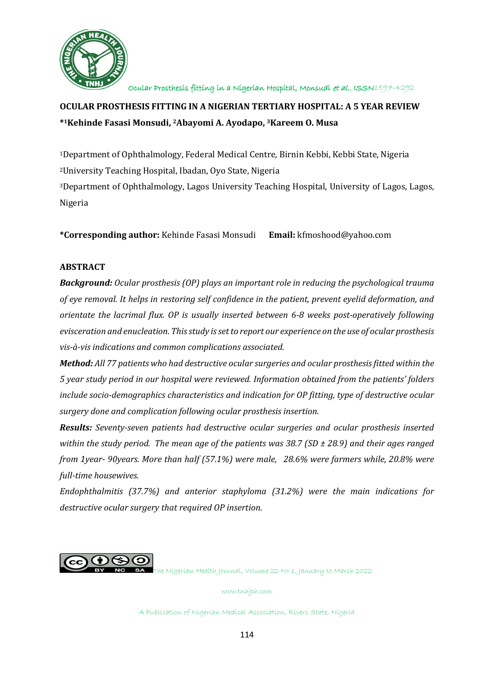

# **OCULAR PROSTHESIS FITTING IN A NIGERIAN TERTIARY HOSPITAL: A 5 YEAR REVIEW \* <sup>1</sup>Kehinde Fasasi Monsudi, 2Abayomi A. Ayodapo, 3Kareem O. Musa**

Department of Ophthalmology, Federal Medical Centre, Birnin Kebbi, Kebbi State, Nigeria University Teaching Hospital, Ibadan, Oyo State, Nigeria Department of Ophthalmology, Lagos University Teaching Hospital, University of Lagos, Lagos, Nigeria

**\*Corresponding author:** Kehinde Fasasi Monsudi **Email:** kfmoshood@yahoo.com

# **ABSTRACT**

*Background: Ocular prosthesis (OP) plays an important role in reducing the psychological trauma of eye removal. It helps in restoring self confidence in the patient, prevent eyelid deformation, and orientate the lacrimal flux. OP is usually inserted between 6-8 weeks post-operatively following evisceration and enucleation. This study is set to report our experience on the use of ocular prosthesis vis-à-vis indications and common complications associated.*

*Method: All 77 patients who had destructive ocular surgeries and ocular prosthesis fitted within the 5 year study period in our hospital were reviewed. Information obtained from the patients' folders include socio-demographics characteristics and indication for OP fitting, type of destructive ocular surgery done and complication following ocular prosthesis insertion.*

*Results: Seventy-seven patients had destructive ocular surgeries and ocular prosthesis inserted within the study period. The mean age of the patients was 38.7 (SD ± 28.9) and their ages ranged from 1year- 90years. More than half (57.1%) were male, 28.6% were farmers while, 20.8% were full-time housewives.*

*Endophthalmitis (37.7%) and anterior staphyloma (31.2%) were the main indications for destructive ocular surgery that required OP insertion.*



The Nigerian Health Journal, Volume 22 No 1, January to March 2022

www.tnhjph.com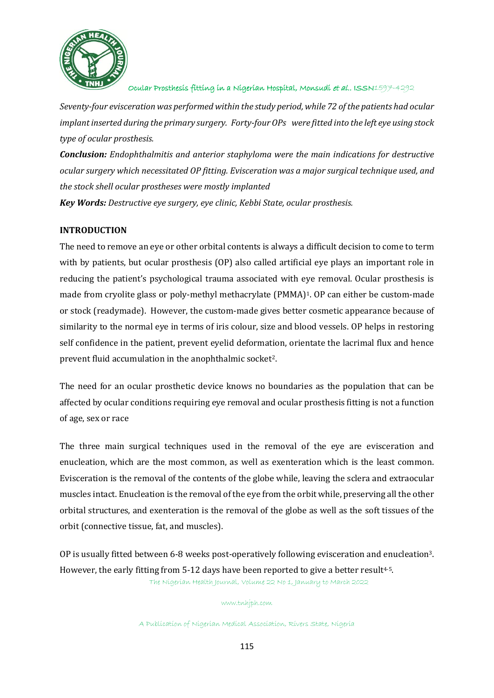

*Seventy-four evisceration was performed within the study period, while 72 of the patients had ocular implant inserted during the primary surgery. Forty-four OPs were fitted into the left eye using stock type of ocular prosthesis.*

*Conclusion: Endophthalmitis and anterior staphyloma were the main indications for destructive ocular surgery which necessitated OP fitting. Evisceration was a major surgical technique used, and the stock shell ocular prostheses were mostly implanted* 

*Key Words: Destructive eye surgery, eye clinic, Kebbi State, ocular prosthesis.* 

# **INTRODUCTION**

The need to remove an eye or other orbital contents is always a difficult decision to come to term with by patients, but ocular prosthesis (OP) also called artificial eye plays an important role in reducing the patient's psychological trauma associated with eye removal. Ocular prosthesis is made from cryolite glass or poly-methyl methacrylate (PMMA)<sup>1</sup>. OP can either be custom-made or stock (readymade). However, the custom-made gives better cosmetic appearance because of similarity to the normal eye in terms of iris colour, size and blood vessels. OP helps in restoring self confidence in the patient, prevent eyelid deformation, orientate the lacrimal flux and hence prevent fluid accumulation in the anophthalmic socket<sup>2</sup>.

The need for an ocular prosthetic device knows no boundaries as the population that can be affected by ocular conditions requiring eye removal and ocular prosthesis fitting is not a function of age, sex or race

The three main surgical techniques used in the removal of the eye are evisceration and enucleation, which are the most common, as well as exenteration which is the least common. Evisceration is the removal of the contents of the globe while, leaving the sclera and extraocular muscles intact. Enucleation is the removal of the eye from the orbit while, preserving all the other orbital structures, and exenteration is the removal of the globe as well as the soft tissues of the orbit (connective tissue, fat, and muscles).

The Nigerian Health Journal, Volume 22 No 1, January to March 2022 OP is usually fitted between 6-8 weeks post-operatively following evisceration and enucleation3. However, the early fitting from  $5-12$  days have been reported to give a better result<sup>4-5</sup>.

#### www.tnhjph.com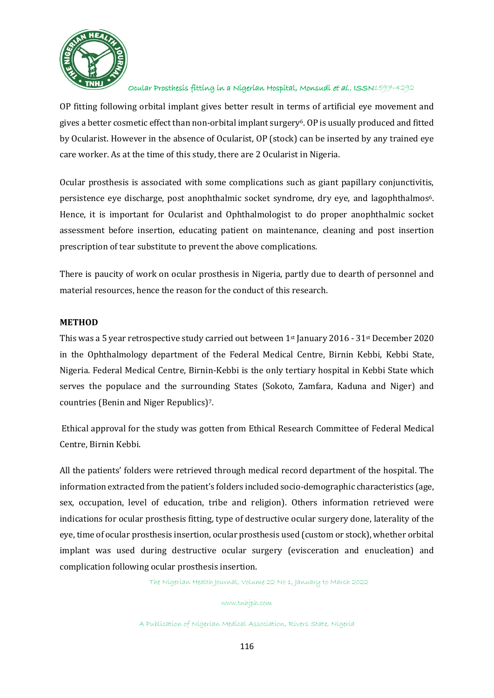

OP fitting following orbital implant gives better result in terms of artificial eye movement and gives a better cosmetic effect than non-orbital implant surgery<sup>6</sup>. OP is usually produced and fitted by Ocularist. However in the absence of Ocularist, OP (stock) can be inserted by any trained eye care worker. As at the time of this study, there are 2 Ocularist in Nigeria.

Ocular prosthesis is associated with some complications such as giant papillary conjunctivitis, persistence eye discharge, post anophthalmic socket syndrome, dry eye, and lagophthalmos<sup>6</sup>. Hence, it is important for Ocularist and Ophthalmologist to do proper anophthalmic socket assessment before insertion, educating patient on maintenance, cleaning and post insertion prescription of tear substitute to prevent the above complications.

There is paucity of work on ocular prosthesis in Nigeria, partly due to dearth of personnel and material resources, hence the reason for the conduct of this research.

#### **METHOD**

This was a 5 year retrospective study carried out between 1st January 2016 - 31st December 2020 in the Ophthalmology department of the Federal Medical Centre, Birnin Kebbi, Kebbi State, Nigeria. Federal Medical Centre, Birnin-Kebbi is the only tertiary hospital in Kebbi State which serves the populace and the surrounding States (Sokoto, Zamfara, Kaduna and Niger) and countries (Benin and Niger Republics)7.

Ethical approval for the study was gotten from Ethical Research Committee of Federal Medical Centre, Birnin Kebbi.

All the patients' folders were retrieved through medical record department of the hospital. The information extracted from the patient's folders included socio-demographic characteristics (age, sex, occupation, level of education, tribe and religion). Others information retrieved were indications for ocular prosthesis fitting, type of destructive ocular surgery done, laterality of the eye, time of ocular prosthesis insertion, ocular prosthesis used (custom or stock), whether orbital implant was used during destructive ocular surgery (evisceration and enucleation) and complication following ocular prosthesis insertion.

The Nigerian Health Journal, Volume 22 No 1, January to March 2022

#### www.tnhjph.com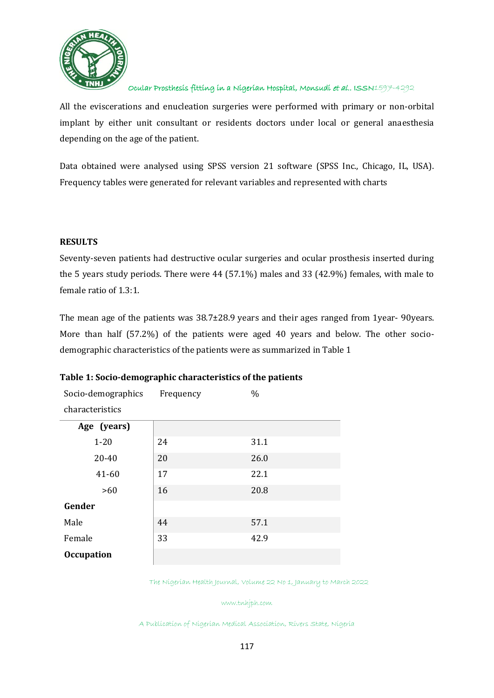

All the eviscerations and enucleation surgeries were performed with primary or non-orbital implant by either unit consultant or residents doctors under local or general anaesthesia depending on the age of the patient.

Data obtained were analysed using SPSS version 21 software (SPSS Inc., Chicago, IL, USA). Frequency tables were generated for relevant variables and represented with charts

#### **RESULTS**

Seventy-seven patients had destructive ocular surgeries and ocular prosthesis inserted during the 5 years study periods. There were 44 (57.1%) males and 33 (42.9%) females, with male to female ratio of 1.3:1.

The mean age of the patients was 38.7±28.9 years and their ages ranged from 1year- 90years. More than half (57.2%) of the patients were aged 40 years and below. The other sociodemographic characteristics of the patients were as summarized in Table 1

| Socio-demographics | Frequency | $\frac{0}{0}$ |
|--------------------|-----------|---------------|
| characteristics    |           |               |
| Age (years)        |           |               |
| $1 - 20$           | 24        | 31.1          |
| 20-40              | 20        | 26.0          |
| $41 - 60$          | 17        | 22.1          |
| >60                | 16        | 20.8          |
| Gender             |           |               |
| Male               | 44        | 57.1          |
| Female             | 33        | 42.9          |
| <b>Occupation</b>  |           |               |

### **Table 1: Socio-demographic characteristics of the patients**

The Nigerian Health Journal, Volume 22 No 1, January to March 2022

www.tnhjph.com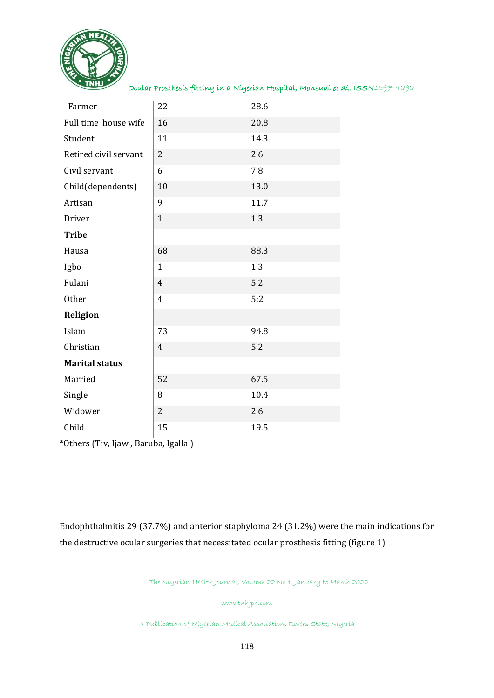

| Farmer                | 22             | 28.6 |
|-----------------------|----------------|------|
| Full time house wife  | 16             | 20.8 |
| Student               | 11             | 14.3 |
| Retired civil servant | $\overline{2}$ | 2.6  |
| Civil servant         | 6              | 7.8  |
| Child(dependents)     | 10             | 13.0 |
| Artisan               | 9              | 11.7 |
| Driver                | $\mathbf{1}$   | 1.3  |
| <b>Tribe</b>          |                |      |
| Hausa                 | 68             | 88.3 |
| Igbo                  | $\mathbf{1}$   | 1.3  |
| Fulani                | $\overline{4}$ | 5.2  |
| Other                 | $\overline{4}$ | 5;2  |
| <b>Religion</b>       |                |      |
| Islam                 | 73             | 94.8 |
| Christian             | $\overline{4}$ | 5.2  |
| <b>Marital status</b> |                |      |
| Married               | 52             | 67.5 |
| Single                | 8              | 10.4 |
| Widower               | $\overline{c}$ | 2.6  |
| Child                 | 15             | 19.5 |

\*Others (Tiv, Ijaw , Baruba, Igalla )

Endophthalmitis 29 (37.7%) and anterior staphyloma 24 (31.2%) were the main indications for the destructive ocular surgeries that necessitated ocular prosthesis fitting (figure 1).

The Nigerian Health Journal, Volume 22 No 1, January to March 2022

www.tnhjph.com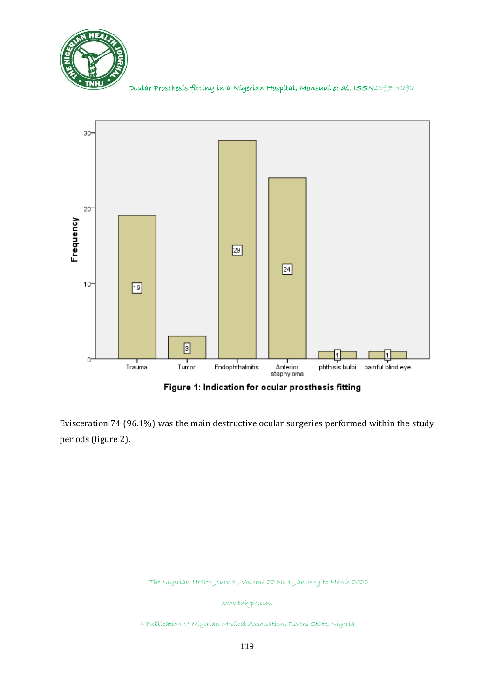



Figure 1: Indication for ocular prosthesis fitting

Evisceration 74 (96.1%) was the main destructive ocular surgeries performed within the study periods (figure 2).

The Nigerian Health Journal, Volume 22 No 1, January to March 2022

www.tnhjph.com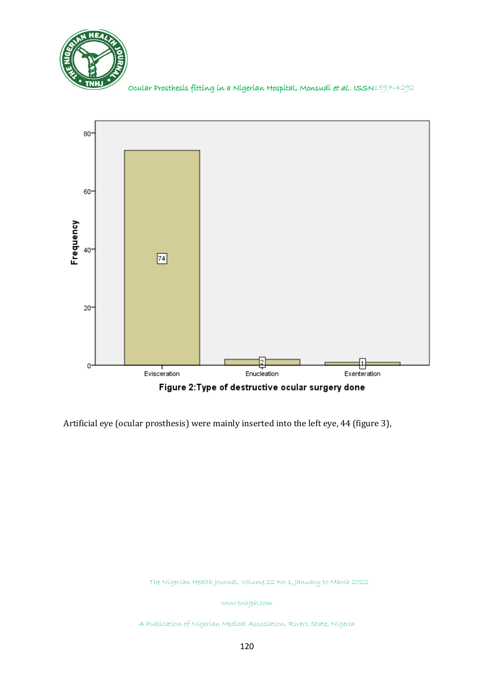



Artificial eye (ocular prosthesis) were mainly inserted into the left eye, 44 (figure 3),

The Nigerian Health Journal, Volume 22 No 1, January to March 2022

www.tnhjph.com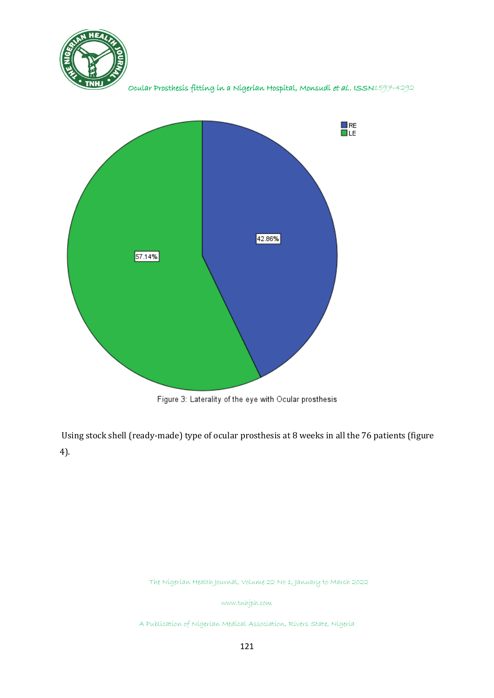



Figure 3: Laterality of the eye with Ocular prosthesis

Using stock shell (ready-made) type of ocular prosthesis at 8 weeks in all the 76 patients (figure 4).

The Nigerian Health Journal, Volume 22 No 1, January to March 2022

www.tnhjph.com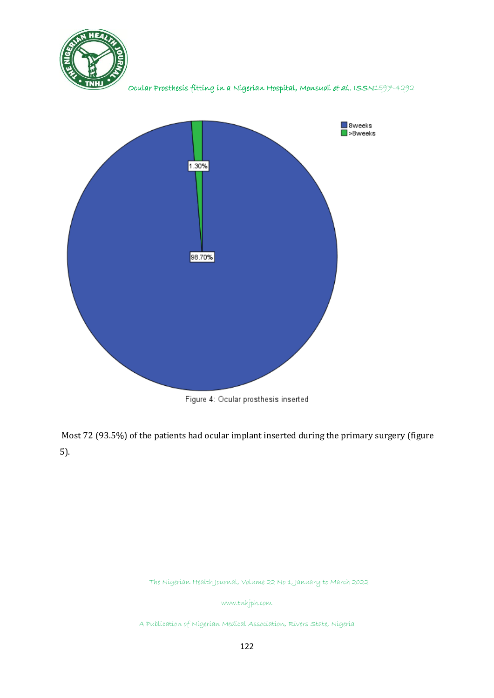



Figure 4: Ocular prosthesis inserted

Most 72 (93.5%) of the patients had ocular implant inserted during the primary surgery (figure 5).

The Nigerian Health Journal, Volume 22 No 1, January to March 2022

www.tnhjph.com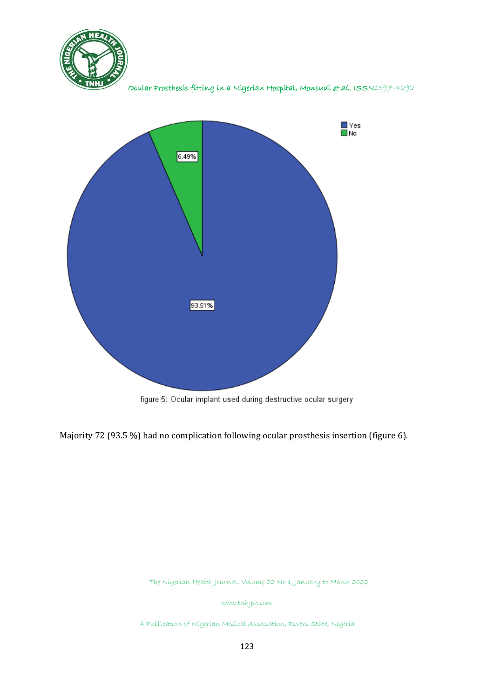



figure 5: Ocular implant used during destructive ocular surgery

Majority 72 (93.5 %) had no complication following ocular prosthesis insertion (figure 6).

The Nigerian Health Journal, Volume 22 No 1, January to March 2022

www.tnhjph.com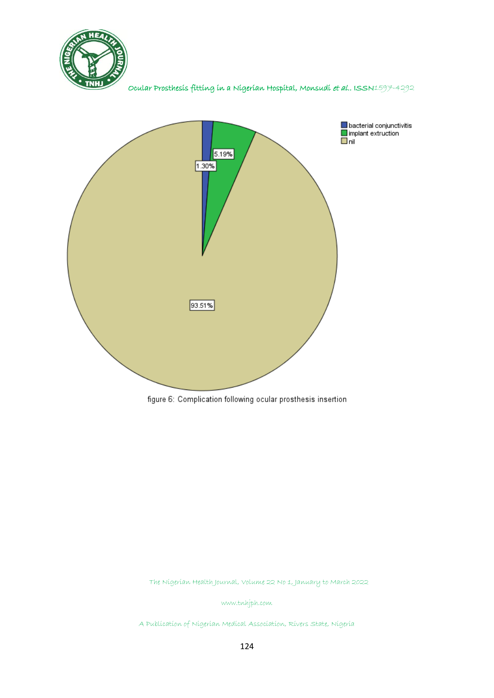



figure 6: Complication following ocular prosthesis insertion

The Nigerian Health Journal, Volume 22 No 1, January to March 2022

www.tnhjph.com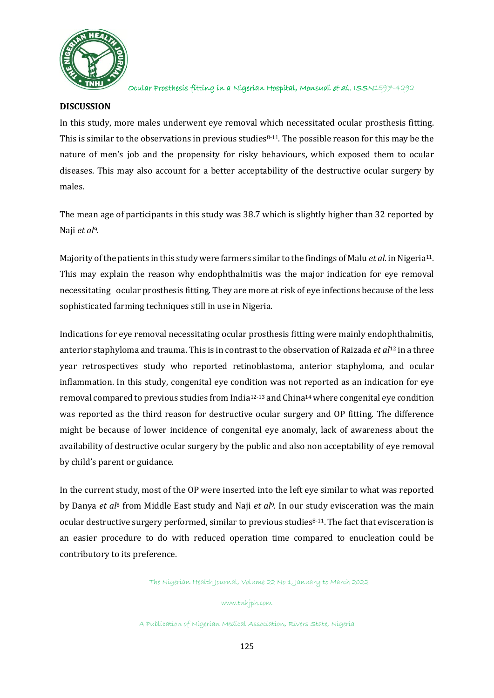

#### **DISCUSSION**

In this study, more males underwent eye removal which necessitated ocular prosthesis fitting. This is similar to the observations in previous studies $8-11$ . The possible reason for this may be the nature of men's job and the propensity for risky behaviours, which exposed them to ocular diseases. This may also account for a better acceptability of the destructive ocular surgery by males.

The mean age of participants in this study was 38.7 which is slightly higher than 32 reported by Naji *et al*9.

Majority of the patients in this study were farmers similar to the findings of Malu *et al*. in Nigeria11. This may explain the reason why endophthalmitis was the major indication for eye removal necessitating ocular prosthesis fitting. They are more at risk of eye infections because of the less sophisticated farming techniques still in use in Nigeria.

Indications for eye removal necessitating ocular prosthesis fitting were mainly endophthalmitis, anterior staphyloma and trauma. This is in contrast to the observation of Raizada *et al*<sup>12</sup> in a three year retrospectives study who reported retinoblastoma, anterior staphyloma, and ocular inflammation. In this study, congenital eye condition was not reported as an indication for eye removal compared to previous studies from India12-13 and China<sup>14</sup> where congenital eye condition was reported as the third reason for destructive ocular surgery and OP fitting. The difference might be because of lower incidence of congenital eye anomaly, lack of awareness about the availability of destructive ocular surgery by the public and also non acceptability of eye removal by child's parent or guidance.

In the current study, most of the OP were inserted into the left eye similar to what was reported by Danya *et al*<sup>8</sup> from Middle East study and Naji *et al*9. In our study evisceration was the main ocular destructive surgery performed, similar to previous studies8-11.The fact that evisceration is an easier procedure to do with reduced operation time compared to enucleation could be contributory to its preference.

The Nigerian Health Journal, Volume 22 No 1, January to March 2022

www.tnhjph.com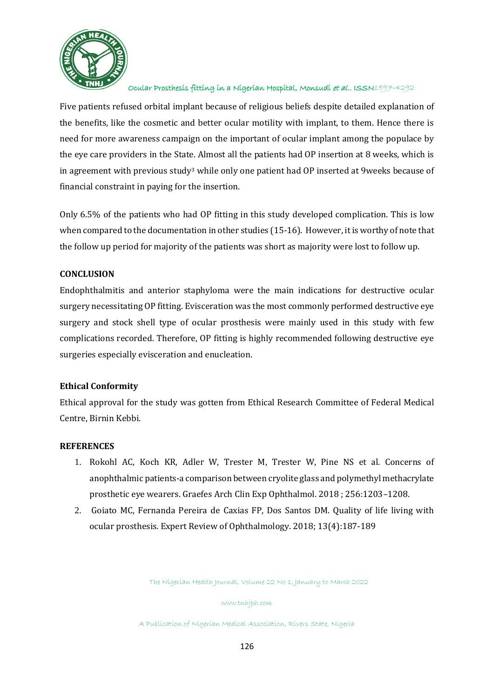

Five patients refused orbital implant because of religious beliefs despite detailed explanation of the benefits, like the cosmetic and better ocular motility with implant, to them. Hence there is need for more awareness campaign on the important of ocular implant among the populace by the eye care providers in the State. Almost all the patients had OP insertion at 8 weeks, which is in agreement with previous study<sup>3</sup> while only one patient had OP inserted at 9weeks because of financial constraint in paying for the insertion.

Only 6.5% of the patients who had OP fitting in this study developed complication. This is low when compared to the documentation in other studies (15-16). However, it is worthy of note that the follow up period for majority of the patients was short as majority were lost to follow up.

### **CONCLUSION**

Endophthalmitis and anterior staphyloma were the main indications for destructive ocular surgery necessitating OP fitting. Evisceration was the most commonly performed destructive eye surgery and stock shell type of ocular prosthesis were mainly used in this study with few complications recorded. Therefore, OP fitting is highly recommended following destructive eye surgeries especially evisceration and enucleation.

### **Ethical Conformity**

Ethical approval for the study was gotten from Ethical Research Committee of Federal Medical Centre, Birnin Kebbi.

### **REFERENCES**

- 1. Rokohl AC, Koch KR, Adler W, Trester M, Trester W, Pine NS et al. Concerns of anophthalmic patients-a comparison between cryolite glass and polymethyl methacrylate prosthetic eye wearers. Graefes Arch Clin Exp Ophthalmol. 2018 ; 256:1203–1208.
- 2. Goiato MC, Fernanda Pereira de Caxias FP, Dos Santos DM. Quality of life living with ocular prosthesis. Expert Review of Ophthalmology. 2018; 13(4):187-189

The Nigerian Health Journal, Volume 22 No 1, January to March 2022

www.tnhjph.com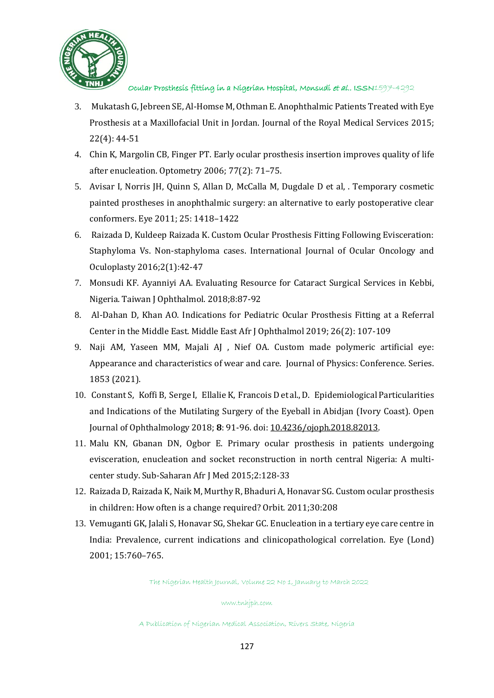

- 3. Mukatash G, Jebreen SE, Al-Homse M, Othman E. Anophthalmic Patients Treated with Eye Prosthesis at a Maxillofacial Unit in Jordan. Journal of the Royal Medical Services 2015; 22(4): 44-51
- 4. Chin K, Margolin CB, Finger PT. Early ocular prosthesis insertion improves quality of life after enucleation. Optometry 2006; 77(2): 71–75.
- 5. Avisar I, Norris JH, Quinn S, Allan D, McCalla M, Dugdale D et al, . Temporary cosmetic painted prostheses in anophthalmic surgery: an alternative to early postoperative clear conformers. Eye 2011; 25: 1418–1422
- 6. Raizada D, Kuldeep Raizada K. Custom Ocular Prosthesis Fitting Following Evisceration: Staphyloma Vs. Non-staphyloma cases. International Journal of Ocular Oncology and Oculoplasty 2016;2(1):42-47
- 7. Monsudi KF. Ayanniyi AA. Evaluating Resource for Cataract Surgical Services in Kebbi, Nigeria. Taiwan J Ophthalmol. 2018;8:87-92
- 8. Al-Dahan D, Khan AO. Indications for Pediatric Ocular Prosthesis Fitting at a Referral Center in the Middle East. Middle East Afr J Ophthalmol 2019; 26(2): 107-109
- 9. Naji AM, Yaseen MM, Majali AJ , Nief OA. Custom made polymeric artificial eye: Appearance and characteristics of wear and care. Journal of Physics: Conference. Series. 1853 (2021).
- 10. Constant S, Koffi B, Serge I, Ellalie K, Francois D et al., D. Epidemiological Particularities and Indications of the Mutilating Surgery of the Eyeball in Abidjan (Ivory Coast). Open Journal of Ophthalmology 2018; **8**: 91-96. doi[: 10.4236/ojoph.2018.82013.](https://doi.org/10.4236/ojoph.2018.82013)
- 11. Malu KN, Gbanan DN, Ogbor E. Primary ocular prosthesis in patients undergoing evisceration, enucleation and socket reconstruction in north central Nigeria: A multicenter study. Sub-Saharan Afr J Med 2015;2:128-33
- 12. Raizada D, Raizada K, Naik M, Murthy R, Bhaduri A, Honavar SG. Custom ocular prosthesis in children: How often is a change required? Orbit. 2011;30:208
- 13. Vemuganti GK, Jalali S, Honavar SG, Shekar GC. Enucleation in a tertiary eye care centre in India: Prevalence, current indications and clinicopathological correlation. Eye (Lond) 2001; 15:760–765.

The Nigerian Health Journal, Volume 22 No 1, January to March 2022

#### www.tnhjph.com